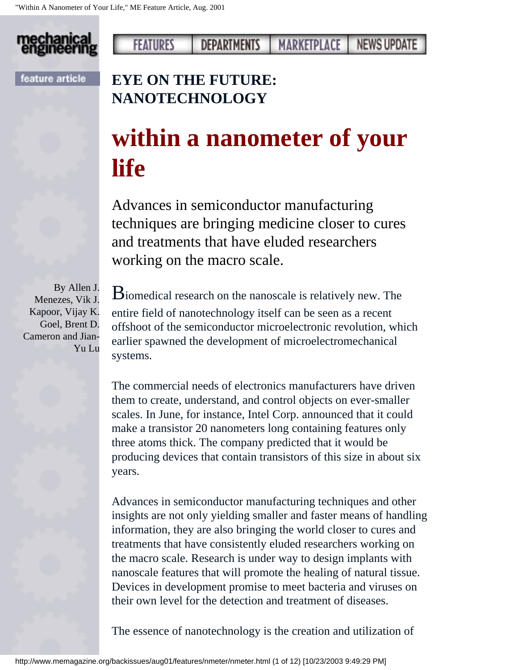

### **FEATURES DEPARTMENTS NEWS UPDATE** MARKETPLACE

feature article

## **EYE ON THE FUTURE: NANOTECHNOLOGY**

# **within a nanometer of your life**

Advances in semiconductor manufacturing techniques are bringing medicine closer to cures and treatments that have eluded researchers working on the macro scale.

By Allen J. Menezes, Vik J. Kapoor, Vijay K. Goel, Brent D. Cameron and Jian-Yu Lu

Biomedical research on the nanoscale is relatively new. The entire field of nanotechnology itself can be seen as a recent offshoot of the semiconductor microelectronic revolution, which earlier spawned the development of microelectromechanical systems.

The commercial needs of electronics manufacturers have driven them to create, understand, and control objects on ever-smaller scales. In June, for instance, Intel Corp. announced that it could make a transistor 20 nanometers long containing features only three atoms thick. The company predicted that it would be producing devices that contain transistors of this size in about six years.

Advances in semiconductor manufacturing techniques and other insights are not only yielding smaller and faster means of handling information, they are also bringing the world closer to cures and treatments that have consistently eluded researchers working on the macro scale. Research is under way to design implants with nanoscale features that will promote the healing of natural tissue. Devices in development promise to meet bacteria and viruses on their own level for the detection and treatment of diseases.

The essence of nanotechnology is the creation and utilization of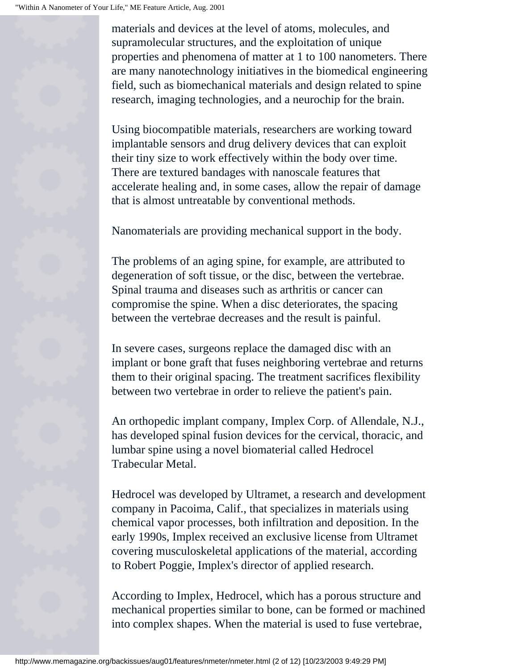materials and devices at the level of atoms, molecules, and supramolecular structures, and the exploitation of unique properties and phenomena of matter at 1 to 100 nanometers. There are many nanotechnology initiatives in the biomedical engineering field, such as biomechanical materials and design related to spine research, imaging technologies, and a neurochip for the brain.

Using biocompatible materials, researchers are working toward implantable sensors and drug delivery devices that can exploit their tiny size to work effectively within the body over time. There are textured bandages with nanoscale features that accelerate healing and, in some cases, allow the repair of damage that is almost untreatable by conventional methods.

Nanomaterials are providing mechanical support in the body.

The problems of an aging spine, for example, are attributed to degeneration of soft tissue, or the disc, between the vertebrae. Spinal trauma and diseases such as arthritis or cancer can compromise the spine. When a disc deteriorates, the spacing between the vertebrae decreases and the result is painful.

In severe cases, surgeons replace the damaged disc with an implant or bone graft that fuses neighboring vertebrae and returns them to their original spacing. The treatment sacrifices flexibility between two vertebrae in order to relieve the patient's pain.

An orthopedic implant company, Implex Corp. of Allendale, N.J., has developed spinal fusion devices for the cervical, thoracic, and lumbar spine using a novel biomaterial called Hedrocel Trabecular Metal.

Hedrocel was developed by Ultramet, a research and development company in Pacoima, Calif., that specializes in materials using chemical vapor processes, both infiltration and deposition. In the early 1990s, Implex received an exclusive license from Ultramet covering musculoskeletal applications of the material, according to Robert Poggie, Implex's director of applied research.

According to Implex, Hedrocel, which has a porous structure and mechanical properties similar to bone, can be formed or machined into complex shapes. When the material is used to fuse vertebrae,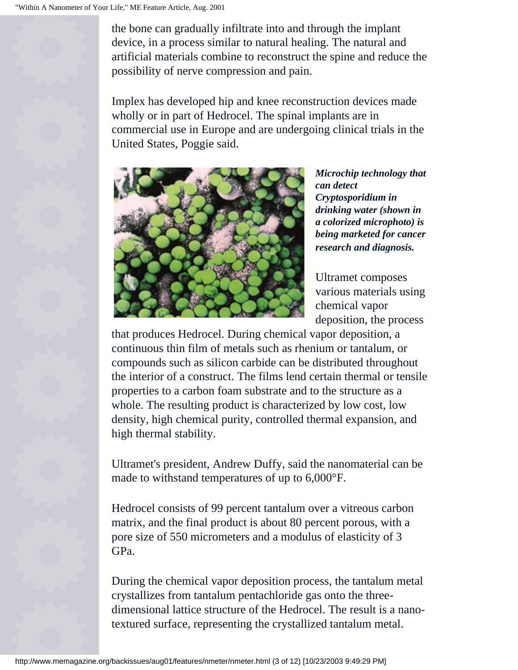the bone can gradually infiltrate into and through the implant device, in a process similar to natural healing. The natural and artificial materials combine to reconstruct the spine and reduce the possibility of nerve compression and pain.

Implex has developed hip and knee reconstruction devices made wholly or in part of Hedrocel. The spinal implants are in commercial use in Europe and are undergoing clinical trials in the United States, Poggie said.



*Microchip technology that can detect Cryptosporidium in drinking water (shown in a colorized microphoto) is being marketed for cancer research and diagnosis.*

Ultramet composes various materials using chemical vapor deposition, the process

that produces Hedrocel. During chemical vapor deposition, a continuous thin film of metals such as rhenium or tantalum, or compounds such as silicon carbide can be distributed throughout the interior of a construct. The films lend certain thermal or tensile properties to a carbon foam substrate and to the structure as a whole. The resulting product is characterized by low cost, low density, high chemical purity, controlled thermal expansion, and high thermal stability.

Ultramet's president, Andrew Duffy, said the nanomaterial can be made to withstand temperatures of up to 6,000°F.

Hedrocel consists of 99 percent tantalum over a vitreous carbon matrix, and the final product is about 80 percent porous, with a pore size of 550 micrometers and a modulus of elasticity of 3 GPa.

During the chemical vapor deposition process, the tantalum metal crystallizes from tantalum pentachloride gas onto the threedimensional lattice structure of the Hedrocel. The result is a nanotextured surface, representing the crystallized tantalum metal.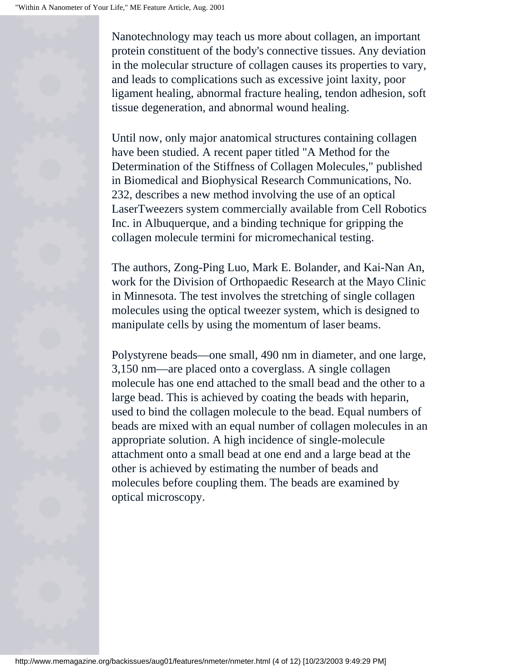Nanotechnology may teach us more about collagen, an important protein constituent of the body's connective tissues. Any deviation in the molecular structure of collagen causes its properties to vary, and leads to complications such as excessive joint laxity, poor ligament healing, abnormal fracture healing, tendon adhesion, soft tissue degeneration, and abnormal wound healing.

Until now, only major anatomical structures containing collagen have been studied. A recent paper titled "A Method for the Determination of the Stiffness of Collagen Molecules," published in Biomedical and Biophysical Research Communications, No. 232, describes a new method involving the use of an optical LaserTweezers system commercially available from Cell Robotics Inc. in Albuquerque, and a binding technique for gripping the collagen molecule termini for micromechanical testing.

The authors, Zong-Ping Luo, Mark E. Bolander, and Kai-Nan An, work for the Division of Orthopaedic Research at the Mayo Clinic in Minnesota. The test involves the stretching of single collagen molecules using the optical tweezer system, which is designed to manipulate cells by using the momentum of laser beams.

Polystyrene beads—one small, 490 nm in diameter, and one large, 3,150 nm—are placed onto a coverglass. A single collagen molecule has one end attached to the small bead and the other to a large bead. This is achieved by coating the beads with heparin, used to bind the collagen molecule to the bead. Equal numbers of beads are mixed with an equal number of collagen molecules in an appropriate solution. A high incidence of single-molecule attachment onto a small bead at one end and a large bead at the other is achieved by estimating the number of beads and molecules before coupling them. The beads are examined by optical microscopy.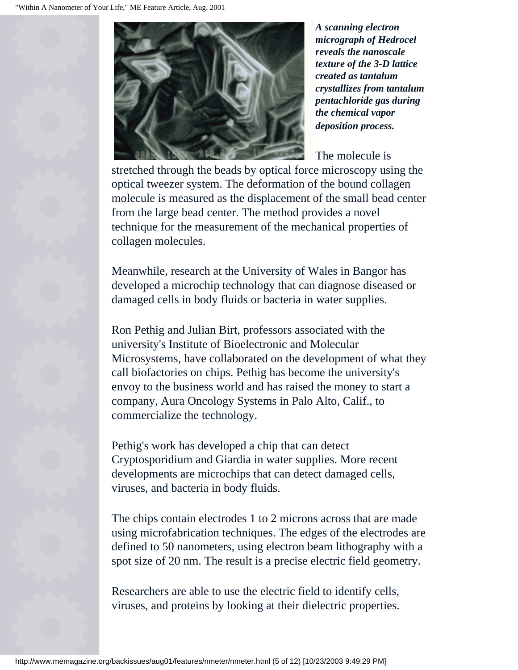

*A scanning electron micrograph of Hedrocel reveals the nanoscale texture of the 3-D lattice created as tantalum crystallizes from tantalum pentachloride gas during the chemical vapor deposition process.*

The molecule is

stretched through the beads by optical force microscopy using the optical tweezer system. The deformation of the bound collagen molecule is measured as the displacement of the small bead center from the large bead center. The method provides a novel technique for the measurement of the mechanical properties of collagen molecules.

Meanwhile, research at the University of Wales in Bangor has developed a microchip technology that can diagnose diseased or damaged cells in body fluids or bacteria in water supplies.

Ron Pethig and Julian Birt, professors associated with the university's Institute of Bioelectronic and Molecular Microsystems, have collaborated on the development of what they call biofactories on chips. Pethig has become the university's envoy to the business world and has raised the money to start a company, Aura Oncology Systems in Palo Alto, Calif., to commercialize the technology.

Pethig's work has developed a chip that can detect Cryptosporidium and Giardia in water supplies. More recent developments are microchips that can detect damaged cells, viruses, and bacteria in body fluids.

The chips contain electrodes 1 to 2 microns across that are made using microfabrication techniques. The edges of the electrodes are defined to 50 nanometers, using electron beam lithography with a spot size of 20 nm. The result is a precise electric field geometry.

Researchers are able to use the electric field to identify cells, viruses, and proteins by looking at their dielectric properties.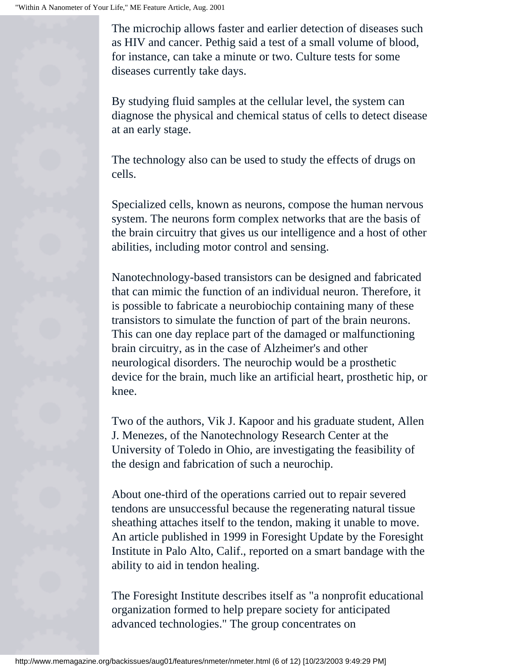The microchip allows faster and earlier detection of diseases such as HIV and cancer. Pethig said a test of a small volume of blood, for instance, can take a minute or two. Culture tests for some diseases currently take days.

By studying fluid samples at the cellular level, the system can diagnose the physical and chemical status of cells to detect disease at an early stage.

The technology also can be used to study the effects of drugs on cells.

Specialized cells, known as neurons, compose the human nervous system. The neurons form complex networks that are the basis of the brain circuitry that gives us our intelligence and a host of other abilities, including motor control and sensing.

Nanotechnology-based transistors can be designed and fabricated that can mimic the function of an individual neuron. Therefore, it is possible to fabricate a neurobiochip containing many of these transistors to simulate the function of part of the brain neurons. This can one day replace part of the damaged or malfunctioning brain circuitry, as in the case of Alzheimer's and other neurological disorders. The neurochip would be a prosthetic device for the brain, much like an artificial heart, prosthetic hip, or knee.

Two of the authors, Vik J. Kapoor and his graduate student, Allen J. Menezes, of the Nanotechnology Research Center at the University of Toledo in Ohio, are investigating the feasibility of the design and fabrication of such a neurochip.

About one-third of the operations carried out to repair severed tendons are unsuccessful because the regenerating natural tissue sheathing attaches itself to the tendon, making it unable to move. An article published in 1999 in Foresight Update by the Foresight Institute in Palo Alto, Calif., reported on a smart bandage with the ability to aid in tendon healing.

The Foresight Institute describes itself as "a nonprofit educational organization formed to help prepare society for anticipated advanced technologies." The group concentrates on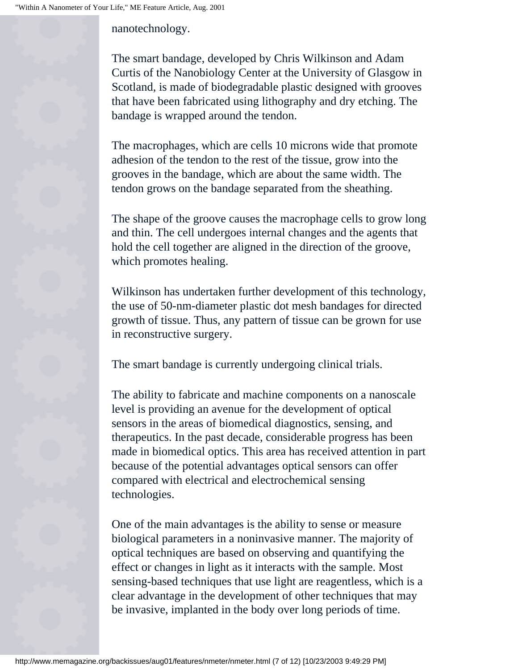nanotechnology.

The smart bandage, developed by Chris Wilkinson and Adam Curtis of the Nanobiology Center at the University of Glasgow in Scotland, is made of biodegradable plastic designed with grooves that have been fabricated using lithography and dry etching. The bandage is wrapped around the tendon.

The macrophages, which are cells 10 microns wide that promote adhesion of the tendon to the rest of the tissue, grow into the grooves in the bandage, which are about the same width. The tendon grows on the bandage separated from the sheathing.

The shape of the groove causes the macrophage cells to grow long and thin. The cell undergoes internal changes and the agents that hold the cell together are aligned in the direction of the groove, which promotes healing.

Wilkinson has undertaken further development of this technology, the use of 50-nm-diameter plastic dot mesh bandages for directed growth of tissue. Thus, any pattern of tissue can be grown for use in reconstructive surgery.

The smart bandage is currently undergoing clinical trials.

The ability to fabricate and machine components on a nanoscale level is providing an avenue for the development of optical sensors in the areas of biomedical diagnostics, sensing, and therapeutics. In the past decade, considerable progress has been made in biomedical optics. This area has received attention in part because of the potential advantages optical sensors can offer compared with electrical and electrochemical sensing technologies.

One of the main advantages is the ability to sense or measure biological parameters in a noninvasive manner. The majority of optical techniques are based on observing and quantifying the effect or changes in light as it interacts with the sample. Most sensing-based techniques that use light are reagentless, which is a clear advantage in the development of other techniques that may be invasive, implanted in the body over long periods of time.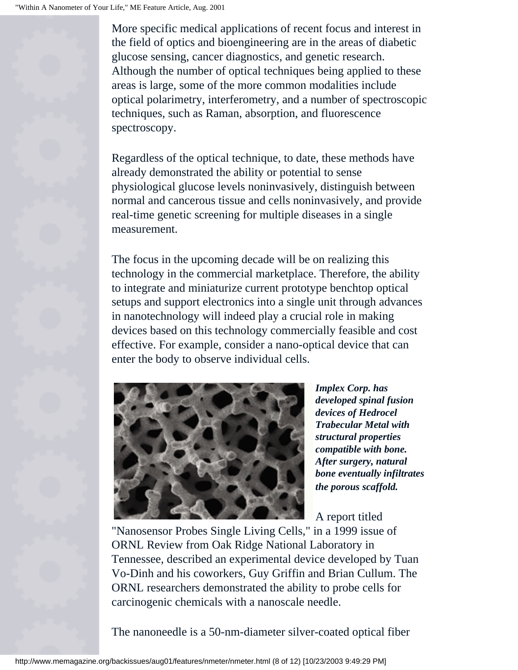More specific medical applications of recent focus and interest in the field of optics and bioengineering are in the areas of diabetic glucose sensing, cancer diagnostics, and genetic research. Although the number of optical techniques being applied to these areas is large, some of the more common modalities include optical polarimetry, interferometry, and a number of spectroscopic techniques, such as Raman, absorption, and fluorescence spectroscopy.

Regardless of the optical technique, to date, these methods have already demonstrated the ability or potential to sense physiological glucose levels noninvasively, distinguish between normal and cancerous tissue and cells noninvasively, and provide real-time genetic screening for multiple diseases in a single measurement.

The focus in the upcoming decade will be on realizing this technology in the commercial marketplace. Therefore, the ability to integrate and miniaturize current prototype benchtop optical setups and support electronics into a single unit through advances in nanotechnology will indeed play a crucial role in making devices based on this technology commercially feasible and cost effective. For example, consider a nano-optical device that can enter the body to observe individual cells.



*Implex Corp. has developed spinal fusion devices of Hedrocel Trabecular Metal with structural properties compatible with bone. After surgery, natural bone eventually infiltrates the porous scaffold.*

A report titled

"Nanosensor Probes Single Living Cells," in a 1999 issue of ORNL Review from Oak Ridge National Laboratory in Tennessee, described an experimental device developed by Tuan Vo-Dinh and his coworkers, Guy Griffin and Brian Cullum. The ORNL researchers demonstrated the ability to probe cells for carcinogenic chemicals with a nanoscale needle.

The nanoneedle is a 50-nm-diameter silver-coated optical fiber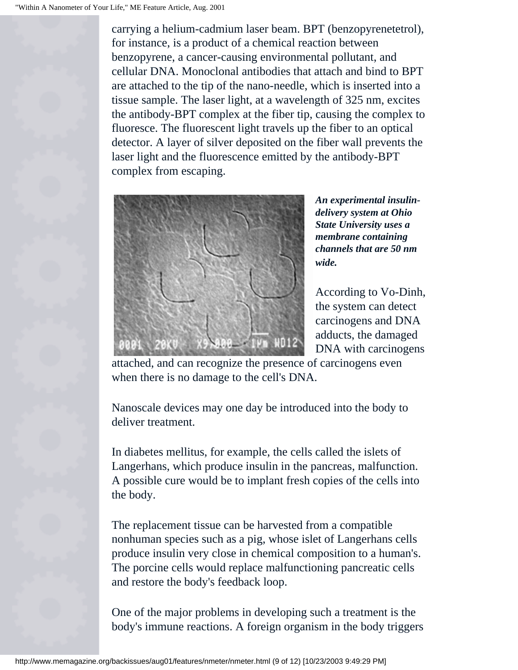carrying a helium-cadmium laser beam. BPT (benzopyrenetetrol), for instance, is a product of a chemical reaction between benzopyrene, a cancer-causing environmental pollutant, and cellular DNA. Monoclonal antibodies that attach and bind to BPT are attached to the tip of the nano-needle, which is inserted into a tissue sample. The laser light, at a wavelength of 325 nm, excites the antibody-BPT complex at the fiber tip, causing the complex to fluoresce. The fluorescent light travels up the fiber to an optical detector. A layer of silver deposited on the fiber wall prevents the laser light and the fluorescence emitted by the antibody-BPT complex from escaping.



*An experimental insulindelivery system at Ohio State University uses a membrane containing channels that are 50 nm wide.*

According to Vo-Dinh, the system can detect carcinogens and DNA adducts, the damaged DNA with carcinogens

attached, and can recognize the presence of carcinogens even when there is no damage to the cell's DNA.

Nanoscale devices may one day be introduced into the body to deliver treatment.

In diabetes mellitus, for example, the cells called the islets of Langerhans, which produce insulin in the pancreas, malfunction. A possible cure would be to implant fresh copies of the cells into the body.

The replacement tissue can be harvested from a compatible nonhuman species such as a pig, whose islet of Langerhans cells produce insulin very close in chemical composition to a human's. The porcine cells would replace malfunctioning pancreatic cells and restore the body's feedback loop.

One of the major problems in developing such a treatment is the body's immune reactions. A foreign organism in the body triggers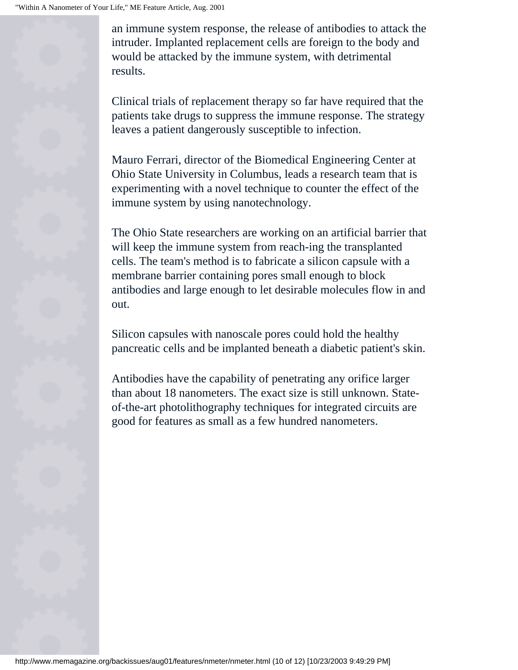an immune system response, the release of antibodies to attack the intruder. Implanted replacement cells are foreign to the body and would be attacked by the immune system, with detrimental results.

Clinical trials of replacement therapy so far have required that the patients take drugs to suppress the immune response. The strategy leaves a patient dangerously susceptible to infection.

Mauro Ferrari, director of the Biomedical Engineering Center at Ohio State University in Columbus, leads a research team that is experimenting with a novel technique to counter the effect of the immune system by using nanotechnology.

The Ohio State researchers are working on an artificial barrier that will keep the immune system from reach-ing the transplanted cells. The team's method is to fabricate a silicon capsule with a membrane barrier containing pores small enough to block antibodies and large enough to let desirable molecules flow in and out.

Silicon capsules with nanoscale pores could hold the healthy pancreatic cells and be implanted beneath a diabetic patient's skin.

Antibodies have the capability of penetrating any orifice larger than about 18 nanometers. The exact size is still unknown. Stateof-the-art photolithography techniques for integrated circuits are good for features as small as a few hundred nanometers.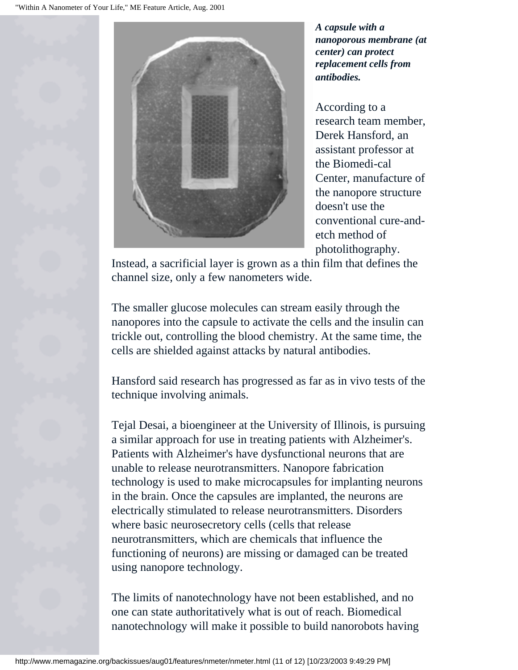

*A capsule with a nanoporous membrane (at center) can protect replacement cells from antibodies.*

According to a research team member, Derek Hansford, an assistant professor at the Biomedi-cal Center, manufacture of the nanopore structure doesn't use the conventional cure-andetch method of photolithography.

Instead, a sacrificial layer is grown as a thin film that defines the channel size, only a few nanometers wide.

The smaller glucose molecules can stream easily through the nanopores into the capsule to activate the cells and the insulin can trickle out, controlling the blood chemistry. At the same time, the cells are shielded against attacks by natural antibodies.

Hansford said research has progressed as far as in vivo tests of the technique involving animals.

Tejal Desai, a bioengineer at the University of Illinois, is pursuing a similar approach for use in treating patients with Alzheimer's. Patients with Alzheimer's have dysfunctional neurons that are unable to release neurotransmitters. Nanopore fabrication technology is used to make microcapsules for implanting neurons in the brain. Once the capsules are implanted, the neurons are electrically stimulated to release neurotransmitters. Disorders where basic neurosecretory cells (cells that release neurotransmitters, which are chemicals that influence the functioning of neurons) are missing or damaged can be treated using nanopore technology.

The limits of nanotechnology have not been established, and no one can state authoritatively what is out of reach. Biomedical nanotechnology will make it possible to build nanorobots having